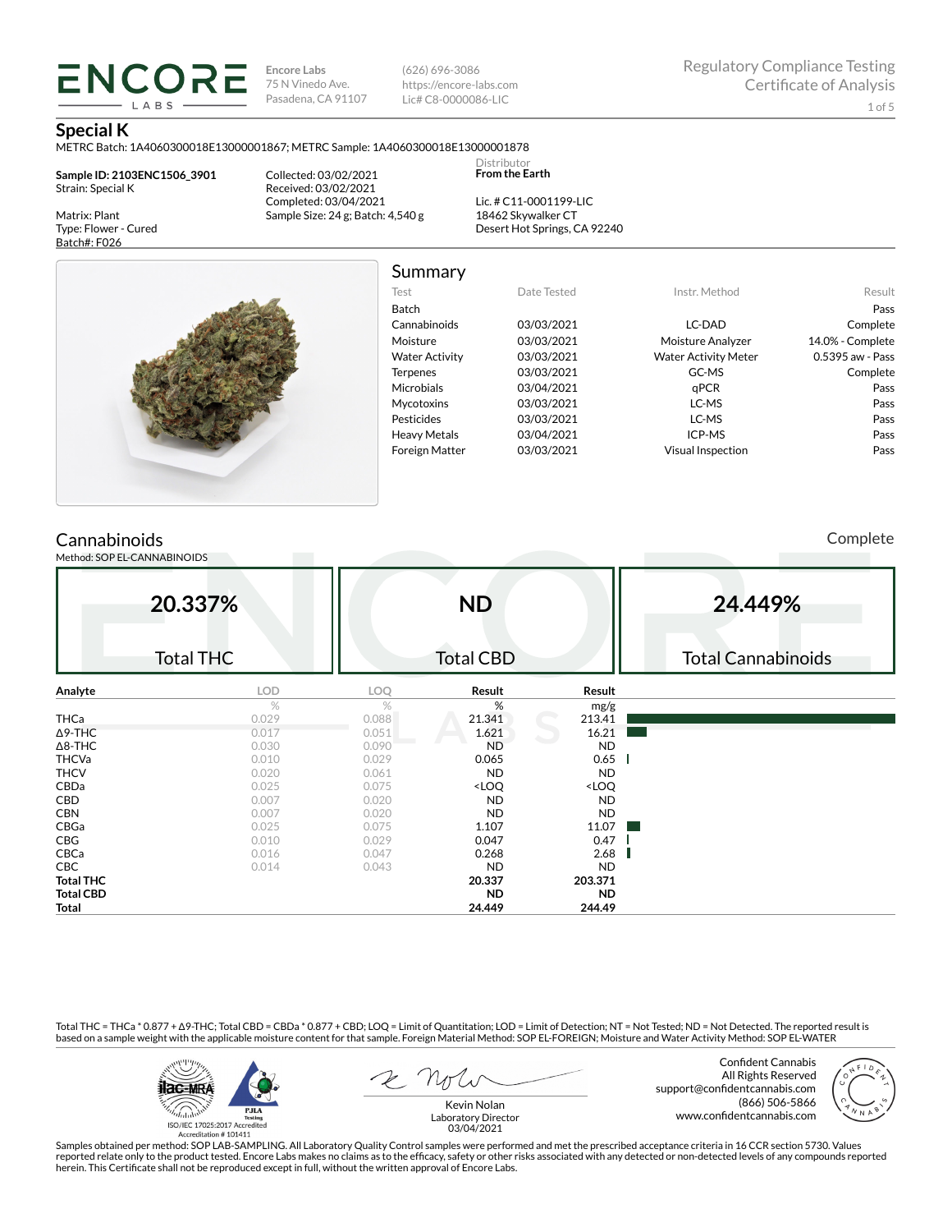**Encore Labs** 75 N Vinedo Ave. Pasadena, CA 91107 (626) 696-3086 https://encore-labs.com Lic# C8-0000086-LIC

> Distributor **From the Earth**

#### **Special K**

Matrix: Plant Type: Flower - Cured Batch#: F026

METRC Batch: 1A4060300018E13000001867; METRC Sample: 1A4060300018E13000001878

**Sample ID: 2103ENC1506\_3901** Strain: Special K

**ENCORE** LABS

> Collected: 03/02/2021 Received: 03/02/2021 Completed: 03/04/2021 Sample Size: 24 g; Batch: 4,540 g

Lic. # C11-0001199-LIC 18462 Skywalker CT Desert Hot Springs, CA 92240



# Summary

| Test                  | Date Tested | Instr. Method               | Result           |
|-----------------------|-------------|-----------------------------|------------------|
| <b>Batch</b>          |             |                             | Pass             |
| Cannabinoids          | 03/03/2021  | LC-DAD                      | Complete         |
| Moisture              | 03/03/2021  | Moisture Analyzer           | 14.0% - Complete |
| <b>Water Activity</b> | 03/03/2021  | <b>Water Activity Meter</b> | 0.5395 aw - Pass |
| <b>Terpenes</b>       | 03/03/2021  | GC-MS                       | Complete         |
| <b>Microbials</b>     | 03/04/2021  | qPCR                        | Pass             |
| <b>Mycotoxins</b>     | 03/03/2021  | LC-MS                       | Pass             |
| Pesticides            | 03/03/2021  | LC-MS                       | Pass             |
| <b>Heavy Metals</b>   | 03/04/2021  | ICP-MS                      | Pass             |
| <b>Foreign Matter</b> | 03/03/2021  | <b>Visual Inspection</b>    | Pass             |
|                       |             |                             |                  |

# **Cannabinoids**

Method: SOP EL-CANNABINOIDS

Complete

|                  | 20.337%<br><b>Total THC</b> |       | <b>ND</b><br><b>Total CBD</b>                            |                              | 24.449%<br><b>Total Cannabinoids</b> |
|------------------|-----------------------------|-------|----------------------------------------------------------|------------------------------|--------------------------------------|
| Analyte          | <b>LOD</b>                  | LOQ   | Result                                                   | Result                       |                                      |
|                  | $\%$                        | %     | %                                                        | mg/g                         |                                      |
| THCa             | 0.029                       | 0.088 | 21.341                                                   | 213.41                       |                                      |
| $\Delta$ 9-THC   | 0.017                       | 0.051 | 1.621                                                    | 16.21                        |                                      |
| $\Delta$ 8-THC   | 0.030                       | 0.090 | <b>ND</b>                                                | <b>ND</b>                    |                                      |
| <b>THCVa</b>     | 0.010                       | 0.029 | 0.065                                                    | 0.65                         |                                      |
| <b>THCV</b>      | 0.020                       | 0.061 | <b>ND</b>                                                | <b>ND</b>                    |                                      |
| CBDa             | 0.025                       | 0.075 | <loq< td=""><td><loq< td=""><td></td></loq<></td></loq<> | <loq< td=""><td></td></loq<> |                                      |
| CBD              | 0.007                       | 0.020 | <b>ND</b>                                                | <b>ND</b>                    |                                      |
| <b>CBN</b>       | 0.007                       | 0.020 | <b>ND</b>                                                | <b>ND</b>                    |                                      |
| CBGa             | 0.025                       | 0.075 | 1.107                                                    | 11.07                        |                                      |
| CBG              | 0.010                       | 0.029 | 0.047                                                    | 0.47                         |                                      |
| CBCa             | 0.016                       | 0.047 | 0.268                                                    | 2.68                         |                                      |
| CBC              | 0.014                       | 0.043 | <b>ND</b>                                                | <b>ND</b>                    |                                      |
| <b>Total THC</b> |                             |       | 20.337                                                   | 203.371                      |                                      |
| <b>Total CBD</b> |                             |       | <b>ND</b>                                                | <b>ND</b>                    |                                      |
| Total            |                             |       | 24.449                                                   | 244.49                       |                                      |

Total THC = THCa \* 0.877 + ∆9-THC; Total CBD = CBDa \* 0.877 + CBD; LOQ = Limit of Quantitation; LOD = Limit of Detection; NT = Not Tested; ND = Not Detected. The reported result is based on a sample weight with the applicable moisture content for that sample. Foreign Material Method: SOP EL-FOREIGN; Moisture and Water Activity Method: SOP EL-WATER



Confident Cannabis All Rights Reserved support@confidentcannabis.com (866) 506-5866 www.confidentcannabis.com



Kevin Nolan Laboratory Director 03/04/2021

Samples obtained per method: SOP LAB-SAMPLING. All Laboratory Quality Control samples were performed and met the prescribed acceptance criteria in 16 CCR section 5730. Values reported relate only to the product tested. Encore Labs makes no claims as to the efficacy, safety or other risks associated with any detected or non-detected levels of any compounds reported<br>herein. This Certificate shall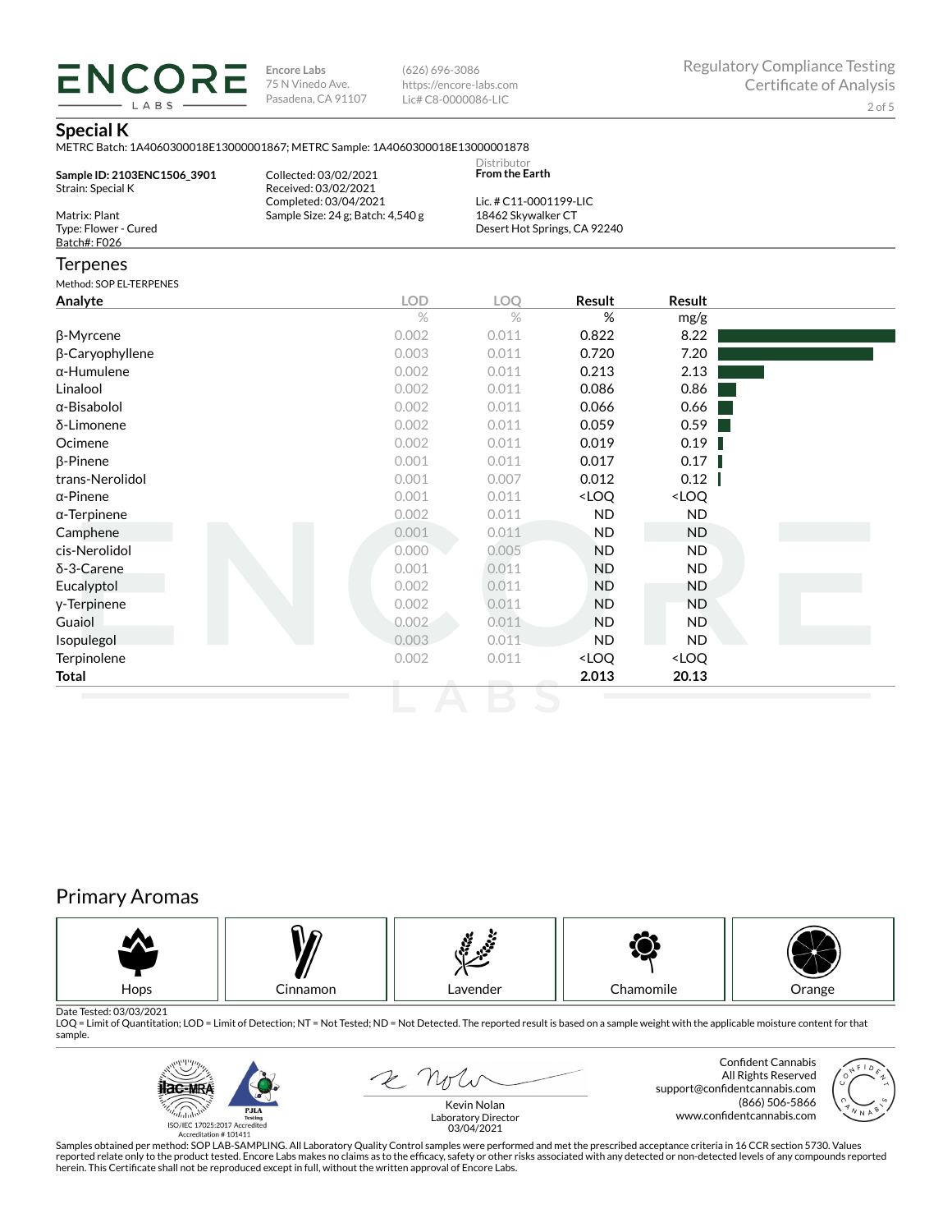**ENCORE Encore Labs** 75 N Vinedo Ave. Pasadena, CA 91107

(626) 696-3086 https://encore-labs.com Lic# C8-0000086-LIC

### **Special K**

LABS

METRC Batch: 1A4060300018E13000001867; METRC Sample: 1A4060300018E13000001878

| Sample ID: 2103ENC1506 3901<br>Strain: Special K      | Collected: 03/02/2021<br>Received: 03/02/2021              | Distributor<br><b>From the Earth</b>         |                              |        |  |
|-------------------------------------------------------|------------------------------------------------------------|----------------------------------------------|------------------------------|--------|--|
| Matrix: Plant<br>Type: Flower - Cured<br>Batch#: F026 | Completed: 03/04/2021<br>Sample Size: 24 g; Batch: 4,540 g | Lic. # C11-0001199-LIC<br>18462 Skywalker CT | Desert Hot Springs, CA 92240 |        |  |
| <b>Terpenes</b>                                       |                                                            |                                              |                              |        |  |
| Method: SOP EL-TERPENES                               |                                                            |                                              |                              |        |  |
| Analyte                                               | <b>LOD</b>                                                 | LOO                                          | <b>Result</b>                | Result |  |
|                                                       | $\%$                                                       | $\%$                                         | %                            | mg/g   |  |
| β-Myrcene                                             | 0.002                                                      | 0.011                                        | 0.822                        | 8.22   |  |
| β-Caryophyllene                                       | 0.003                                                      | 0.011                                        | 0.720                        | 7.20   |  |
| α-Humulene                                            | 0.002                                                      | 0.011                                        | 0.213                        | 2.13   |  |

| p-Caryophyliene     | U.UUJ | U.U T T | 0.720                                                    | 7.ZU                         |  |
|---------------------|-------|---------|----------------------------------------------------------|------------------------------|--|
| $\alpha$ -Humulene  | 0.002 | 0.011   | 0.213                                                    | 2.13                         |  |
| Linalool            | 0.002 | 0.011   | 0.086                                                    | 0.86                         |  |
| α-Bisabolol         | 0.002 | 0.011   | 0.066                                                    | 0.66                         |  |
| δ-Limonene          | 0.002 | 0.011   | 0.059                                                    | 0.59                         |  |
| Ocimene             | 0.002 | 0.011   | 0.019                                                    | 0.19                         |  |
| $\beta$ -Pinene     | 0.001 | 0.011   | 0.017                                                    | 0.17                         |  |
| trans-Nerolidol     | 0.001 | 0.007   | 0.012                                                    | 0.12                         |  |
| $\alpha$ -Pinene    | 0.001 | 0.011   | <loq< th=""><th><loq< th=""><th></th></loq<></th></loq<> | <loq< th=""><th></th></loq<> |  |
| $\alpha$ -Terpinene | 0.002 | 0.011   | ND.                                                      | ND.                          |  |
| Camphene            | 0.001 | 0.011   | <b>ND</b>                                                | ND                           |  |
| cis-Nerolidol       | 0.000 | 0.005   | <b>ND</b>                                                | ND.                          |  |
| $\delta$ -3-Carene  | 0.001 | 0.011   | <b>ND</b>                                                | ND.                          |  |
| Eucalyptol          | 0.002 | 0.011   | <b>ND</b>                                                | ND.                          |  |
| y-Terpinene         | 0.002 | 0.011   | <b>ND</b>                                                | <b>ND</b>                    |  |
| Guaiol              | 0.002 | 0.011   | <b>ND</b>                                                | ND.                          |  |
| Isopulegol          | 0.003 | 0.011   | ND.                                                      | ND.                          |  |
| Terpinolene         | 0.002 | 0.011   | <loq< th=""><th><loq< th=""><th></th></loq<></th></loq<> | <loq< th=""><th></th></loq<> |  |
| Total               |       |         | 2.013                                                    | 20.13                        |  |
|                     |       |         |                                                          |                              |  |

# Primary Aromas



Date Tested: 03/03/2021<br>LOQ = Limit of Quantitation; LOD = Limit of Detection; NT = Not Tested; ND = Not Detected. The reported result is based on a sample weight with the applicable moisture content for that sample.



E not

Confident Cannabis All Rights Reserved support@confidentcannabis.com (866) 506-5866 www.confidentcannabis.com



Kevin Nolan Laboratory Director 03/04/2021

Samples obtained per method: SOP LAB-SAMPLING. All Laboratory Quality Control samples were performed and met the prescribed acceptance criteria in 16 CCR section 5730. Values reported relate only to the product tested. Encore Labs makes no claims as to the efficacy, safety or other risks associated with any detected or non-detected levels of any compounds reported<br>herein. This Certificate shall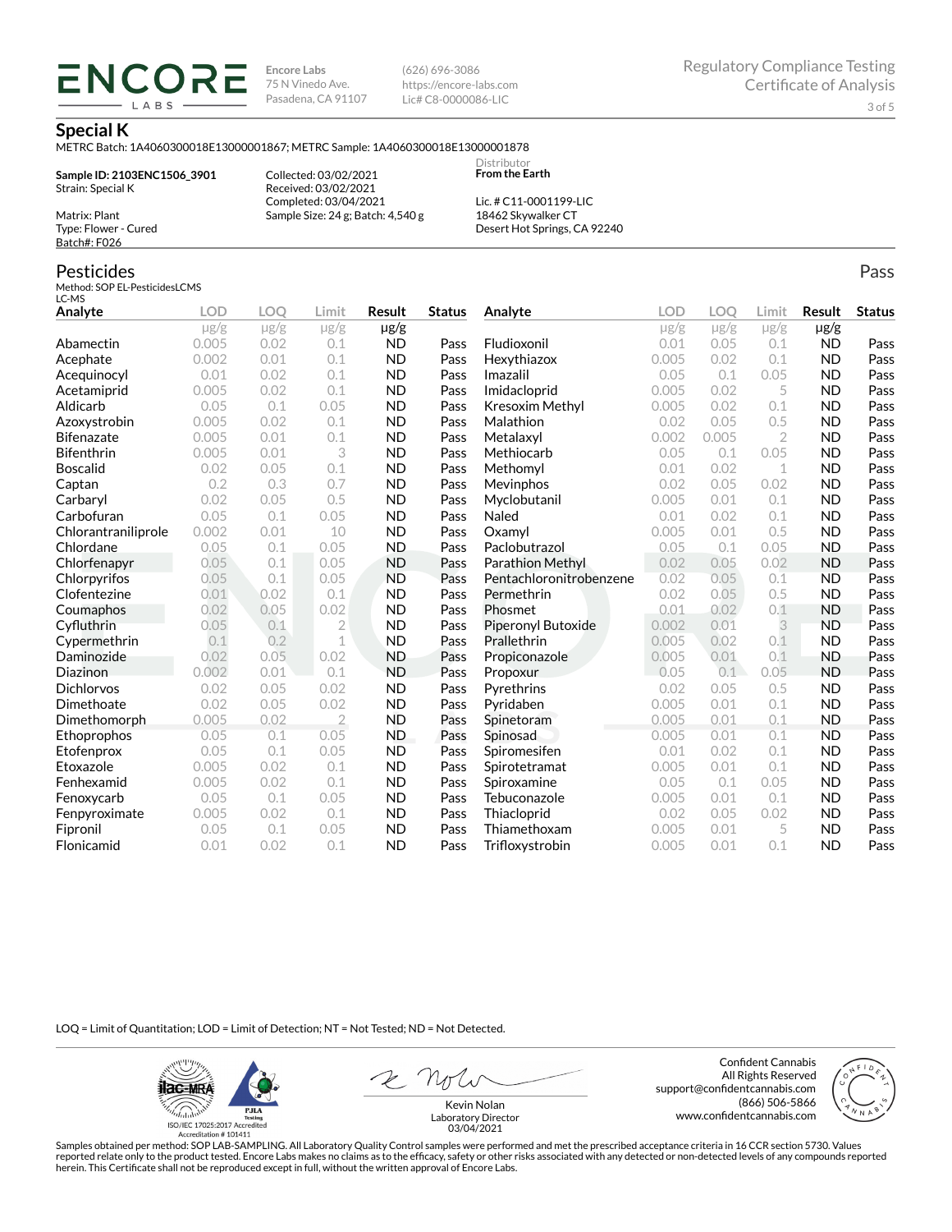**Encore Labs** 75 N Vinedo Ave. Pasadena, CA 91107 (626) 696-3086 https://encore-labs.com Lic# C8-0000086-LIC

> Distributor **From the Earth**

#### **Special K**

METRC Batch: 1A4060300018E13000001867; METRC Sample: 1A4060300018E13000001878

**Sample ID: 2103ENC1506\_3901** Strain: Special K

**ENCOR** LABS

> Collected: 03/02/2021 Received: 03/02/2021 Completed: 03/04/2021 Sample Size: 24 g; Batch: 4,540 g

Lic. # C11-0001199-LIC 18462 Skywalker CT Desert Hot Springs, CA 92240

### Pesticides

Matrix: Plant Type: Flower - Cured Batch#: F026

Method: SOP EL-PesticidesLCMS LC-MS

| Analyte             | <b>LOD</b> | <b>LOO</b> | Limit          | Result         | <b>Status</b> | Analyte                   | <b>LOD</b> | LOQ       | Limit          | Result    | <b>Status</b> |
|---------------------|------------|------------|----------------|----------------|---------------|---------------------------|------------|-----------|----------------|-----------|---------------|
|                     | $\mu$ g/g  | $\mu$ g/g  | $\mu$ g/g      | µg/g           |               |                           | $\mu$ g/g  | $\mu$ g/g | $\mu$ g/g      | $\mu$ g/g |               |
| Abamectin           | 0.005      | 0.02       | 0.1            | <b>ND</b>      | Pass          | Fludioxonil               | 0.01       | 0.05      | 0.1            | <b>ND</b> | Pass          |
| Acephate            | 0.002      | 0.01       | 0.1            | <b>ND</b>      | Pass          | Hexythiazox               | 0.005      | 0.02      | 0.1            | <b>ND</b> | Pass          |
| Acequinocyl         | 0.01       | 0.02       | 0.1            | <b>ND</b>      | Pass          | Imazalil                  | 0.05       | 0.1       | 0.05           | <b>ND</b> | Pass          |
| Acetamiprid         | 0.005      | 0.02       | 0.1            | <b>ND</b>      | Pass          | Imidacloprid              | 0.005      | 0.02      | 5              | <b>ND</b> | Pass          |
| Aldicarb            | 0.05       | 0.1        | 0.05           | <b>ND</b>      | Pass          | <b>Kresoxim Methyl</b>    | 0.005      | 0.02      | 0.1            | <b>ND</b> | Pass          |
| Azoxystrobin        | 0.005      | 0.02       | 0.1            | <b>ND</b>      | Pass          | Malathion                 | 0.02       | 0.05      | 0.5            | <b>ND</b> | Pass          |
| <b>Bifenazate</b>   | 0.005      | 0.01       | 0.1            | <b>ND</b>      | Pass          | Metalaxyl                 | 0.002      | 0.005     | $\overline{2}$ | <b>ND</b> | Pass          |
| <b>Bifenthrin</b>   | 0.005      | 0.01       | 3              | <b>ND</b>      | Pass          | Methiocarb                | 0.05       | 0.1       | 0.05           | <b>ND</b> | Pass          |
| <b>Boscalid</b>     | 0.02       | 0.05       | 0.1            | <b>ND</b>      | Pass          | Methomyl                  | 0.01       | 0.02      | 1              | <b>ND</b> | Pass          |
| Captan              | 0.2        | 0.3        | 0.7            | <b>ND</b>      | Pass          | Mevinphos                 | 0.02       | 0.05      | 0.02           | <b>ND</b> | Pass          |
| Carbaryl            | 0.02       | 0.05       | 0.5            | <b>ND</b>      | Pass          | Myclobutanil              | 0.005      | 0.01      | 0.1            | <b>ND</b> | Pass          |
| Carbofuran          | 0.05       | 0.1        | 0.05           | <b>ND</b>      | Pass          | Naled                     | 0.01       | 0.02      | 0.1            | <b>ND</b> | Pass          |
| Chlorantraniliprole | 0.002      | 0.01       | 10             | <b>ND</b>      | Pass          | Oxamyl                    | 0.005      | 0.01      | 0.5            | <b>ND</b> | Pass          |
| Chlordane           | 0.05       | 0.1        | 0.05           | <b>ND</b>      | Pass          | Paclobutrazol             | 0.05       | 0.1       | 0.05           | <b>ND</b> | Pass          |
| Chlorfenapyr        | 0.05       | 0.1        | 0.05           | <b>ND</b>      | Pass          | Parathion Methyl          | 0.02       | 0.05      | 0.02           | <b>ND</b> | Pass          |
| Chlorpyrifos        | 0.05       | 0.1        | 0.05           | <b>ND</b>      | Pass          | Pentachloronitrobenzene   | 0.02       | 0.05      | 0.1            | <b>ND</b> | Pass          |
| Clofentezine        | 0.01       | 0.02       | 0.1            | <b>ND</b>      | Pass          | Permethrin                | 0.02       | 0.05      | 0.5            | <b>ND</b> | Pass          |
| Coumaphos           | 0.02       | 0.05       | 0.02           | <b>ND</b>      | Pass          | Phosmet                   | 0.01       | 0.02      | 0.1            | <b>ND</b> | Pass          |
| Cyfluthrin          | 0.05       | 0.1        | $\overline{2}$ | <b>ND</b>      | Pass          | <b>Piperonyl Butoxide</b> | 0.002      | 0.01      | 3              | <b>ND</b> | Pass          |
| Cypermethrin        | 0.1        | 0.2        | 1              | <b>ND</b>      | Pass          | Prallethrin               | 0.005      | 0.02      | 0.1            | <b>ND</b> | Pass          |
| Daminozide          | 0.02       | 0.05       | 0.02           | <b>ND</b>      | Pass          | Propiconazole             | 0.005      | 0.01      | 0.1            | <b>ND</b> | Pass          |
| Diazinon            | 0.002      | 0.01       | 0.1            | <b>ND</b>      | Pass          | Propoxur                  | 0.05       | 0.1       | 0.05           | <b>ND</b> | Pass          |
| <b>Dichlorvos</b>   | 0.02       | 0.05       | 0.02           | <b>ND</b>      | Pass          | Pyrethrins                | 0.02       | 0.05      | 0.5            | <b>ND</b> | Pass          |
| Dimethoate          | 0.02       | 0.05       | 0.02           | <b>ND</b>      | Pass          | Pyridaben                 | 0.005      | 0.01      | 0.1            | <b>ND</b> | Pass          |
| Dimethomorph        | 0.005      | 0.02       | $\overline{2}$ | <b>ND</b>      | Pass          | Spinetoram                | 0.005      | 0.01      | 0.1            | <b>ND</b> | Pass          |
| Ethoprophos         | 0.05       | 0.1        | 0.05           | N <sub>D</sub> | Pass          | Spinosad                  | 0.005      | 0.01      | 0.1            | <b>ND</b> | Pass          |
| Etofenprox          | 0.05       | 0.1        | 0.05           | <b>ND</b>      | Pass          | Spiromesifen              | 0.01       | 0.02      | 0.1            | <b>ND</b> | Pass          |
| Etoxazole           | 0.005      | 0.02       | 0.1            | <b>ND</b>      | Pass          | Spirotetramat             | 0.005      | 0.01      | 0.1            | <b>ND</b> | Pass          |
| Fenhexamid          | 0.005      | 0.02       | 0.1            | <b>ND</b>      | Pass          | Spiroxamine               | 0.05       | 0.1       | 0.05           | <b>ND</b> | Pass          |
| Fenoxycarb          | 0.05       | 0.1        | 0.05           | <b>ND</b>      | Pass          | Tebuconazole              | 0.005      | 0.01      | 0.1            | <b>ND</b> | Pass          |
| Fenpyroximate       | 0.005      | 0.02       | 0.1            | <b>ND</b>      | Pass          | Thiacloprid               | 0.02       | 0.05      | 0.02           | <b>ND</b> | Pass          |
| Fipronil            | 0.05       | 0.1        | 0.05           | <b>ND</b>      | Pass          | Thiamethoxam              | 0.005      | 0.01      | 5              | <b>ND</b> | Pass          |
| Flonicamid          | 0.01       | 0.02       | 0.1            | <b>ND</b>      | Pass          | Trifloxystrobin           | 0.005      | 0.01      | 0.1            | <b>ND</b> | Pass          |

LOQ = Limit of Quantitation; LOD = Limit of Detection; NT = Not Tested; ND = Not Detected.

**Hac-MRA PJLA** , Julia resung<br>ISO/IEC 17025:2017 Accredited<br>Accreditation # 101411

Confident Cannabis All Rights Reserved support@confidentcannabis.com (866) 506-5866 www.confidentcannabis.com





Kevin Nolan Laboratory Director 03/04/2021

Samples obtained per method: SOP LAB-SAMPLING. All Laboratory Quality Control samples were performed and met the prescribed acceptance criteria in 16 CCR section 5730. Values reported relate only to the product tested. Encore Labs makes no claims as to the efficacy, safety or other risks associated with any detected or non-detected levels of any compounds reported<br>herein. This Certificate shall

Pass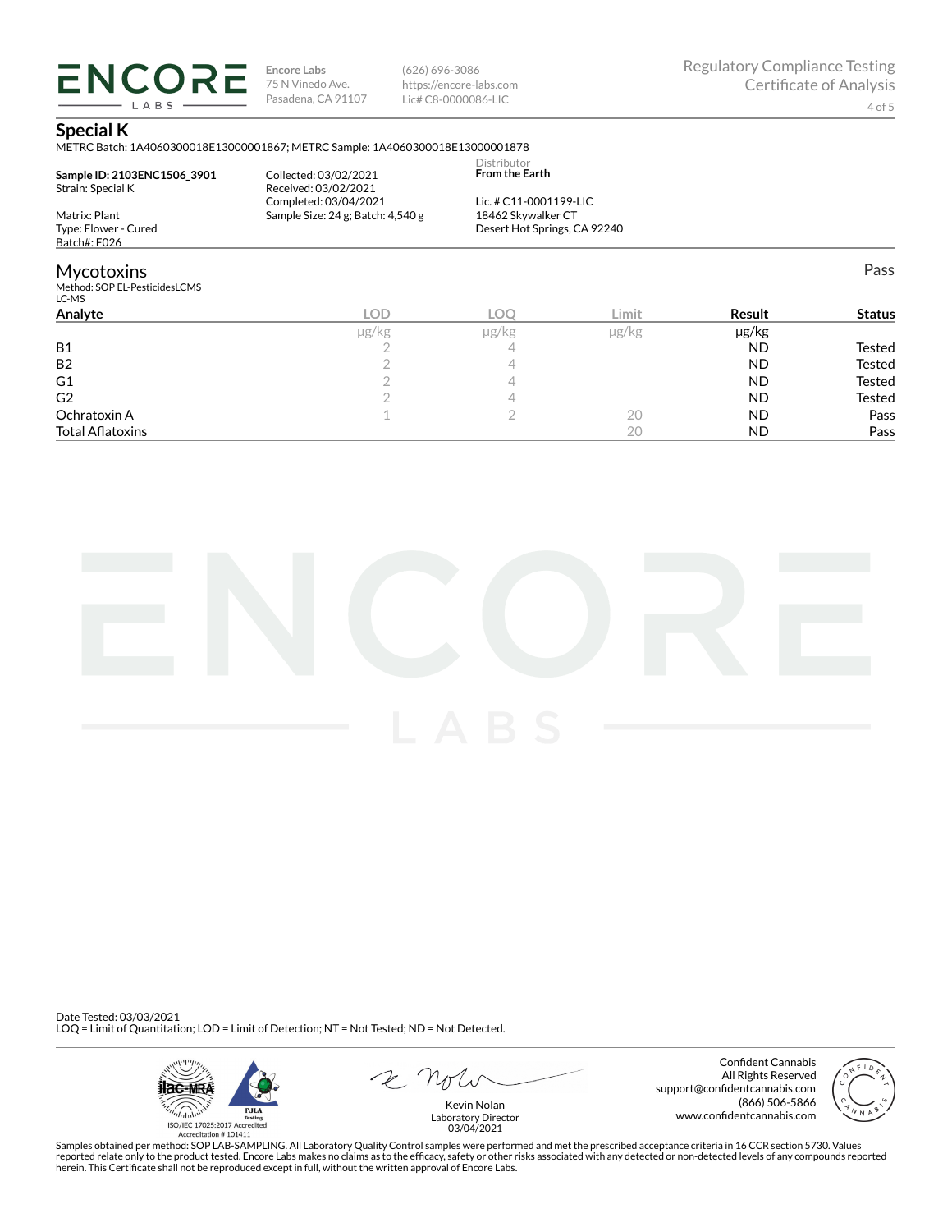**ENCORE** LABS

**Encore Labs** 75 N Vinedo Ave. Pasadena, CA 91107

(626) 696-3086 https://encore-labs.com Lic# C8-0000086-LIC

Pass

### **Special K**

METRC Batch: 1A4060300018E13000001867; METRC Sample: 1A4060300018E13000001878

| Sample ID: 2103ENC1506 3901<br>Strain: Special K | Collected: 03/02/2021<br>Received: 03/02/2021 | Distributor<br><b>From the Earth</b> |
|--------------------------------------------------|-----------------------------------------------|--------------------------------------|
|                                                  | Completed: 03/04/2021                         | Lic. # C11-0001199-LIC               |
| Matrix: Plant                                    | Sample Size: 24 g; Batch: 4,540 g             | 18462 Skywalker CT                   |
| Type: Flower - Cured                             |                                               | Desert Hot Springs, CA 92240         |
| Batch#: F026                                     |                                               |                                      |
| <b>Mycotoxins</b>                                |                                               |                                      |
| Method: SOP EL-PesticidesLCMS                    |                                               |                                      |

| LC-MS                   |            |       |            |            |               |
|-------------------------|------------|-------|------------|------------|---------------|
| Analyte                 | <b>LOD</b> | LOC.  | Limit      | Result     | <b>Status</b> |
|                         | µg/kg      | µg/kg | $\mu$ g/kg | $\mu$ g/kg |               |
| <b>B1</b>               |            |       |            | <b>ND</b>  | Tested        |
| <b>B2</b>               |            |       |            | <b>ND</b>  | <b>Tested</b> |
| G <sub>1</sub>          |            |       |            | <b>ND</b>  | <b>Tested</b> |
| G <sub>2</sub>          |            |       |            | <b>ND</b>  | <b>Tested</b> |
| Ochratoxin A            |            |       | 20         | <b>ND</b>  | Pass          |
| <b>Total Aflatoxins</b> |            |       | 20         | <b>ND</b>  | Pass          |



Date Tested: 03/03/2021 LOQ = Limit of Quantitation; LOD = Limit of Detection; NT = Not Tested; ND = Not Detected.



Confident Cannabis All Rights Reserved support@confidentcannabis.com (866) 506-5866 www.confidentcannabis.com



Kevin Nolan Laboratory Director 03/04/2021

Samples obtained per method: SOP LAB-SAMPLING. All Laboratory Quality Control samples were performed and met the prescribed acceptance criteria in 16 CCR section 5730. Values reported relate only to the product tested. Encore Labs makes no claims as to the efficacy, safety or other risks associated with any detected or non-detected levels of any compounds reported<br>herein. This Certificate shall